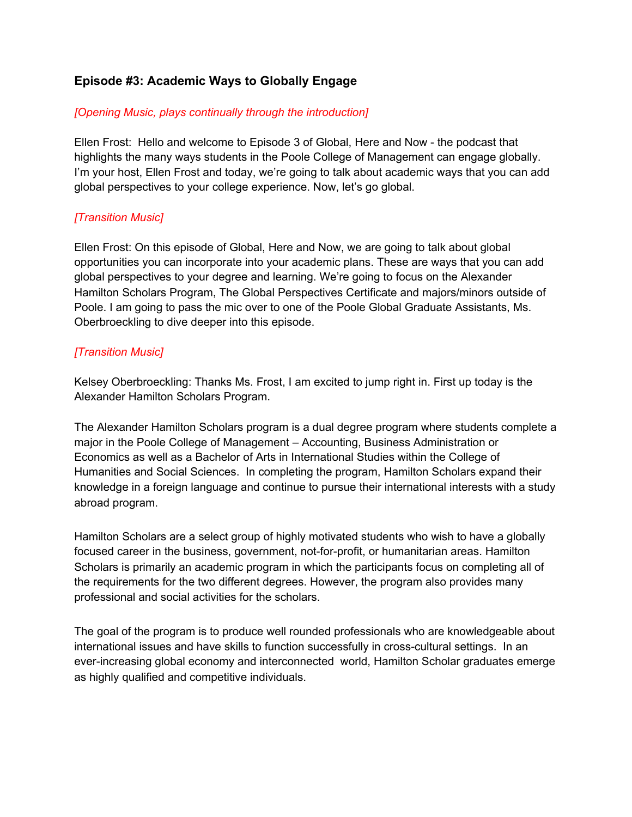# **Episode #3: Academic Ways to Globally Engage**

### *[Opening Music, plays continually through the introduction]*

Ellen Frost: Hello and welcome to Episode 3 of Global, Here and Now - the podcast that highlights the many ways students in the Poole College of Management can engage globally. I'm your host, Ellen Frost and today, we're going to talk about academic ways that you can add global perspectives to your college experience. Now, let's go global.

### *[Transition Music]*

Ellen Frost: On this episode of Global, Here and Now, we are going to talk about global opportunities you can incorporate into your academic plans. These are ways that you can add global perspectives to your degree and learning. We're going to focus on the Alexander Hamilton Scholars Program, The Global Perspectives Certificate and majors/minors outside of Poole. I am going to pass the mic over to one of the Poole Global Graduate Assistants, Ms. Oberbroeckling to dive deeper into this episode.

### *[Transition Music]*

Kelsey Oberbroeckling: Thanks Ms. Frost, I am excited to jump right in. First up today is the Alexander Hamilton Scholars Program.

The Alexander Hamilton Scholars program is a dual degree program where students complete a major in the Poole College of Management – Accounting, Business Administration or Economics as well as a Bachelor of Arts in International Studies within the College of Humanities and Social Sciences. In completing the program, Hamilton Scholars expand their knowledge in a foreign language and continue to pursue their international interests with a study abroad program.

Hamilton Scholars are a select group of highly motivated students who wish to have a globally focused career in the business, government, not-for-profit, or humanitarian areas. Hamilton Scholars is primarily an academic program in which the participants focus on completing all of the requirements for the two different degrees. However, the program also provides many professional and social activities for the scholars.

The goal of the program is to produce well rounded professionals who are knowledgeable about international issues and have skills to function successfully in cross-cultural settings. In an ever-increasing global economy and interconnected world, Hamilton Scholar graduates emerge as highly qualified and competitive individuals.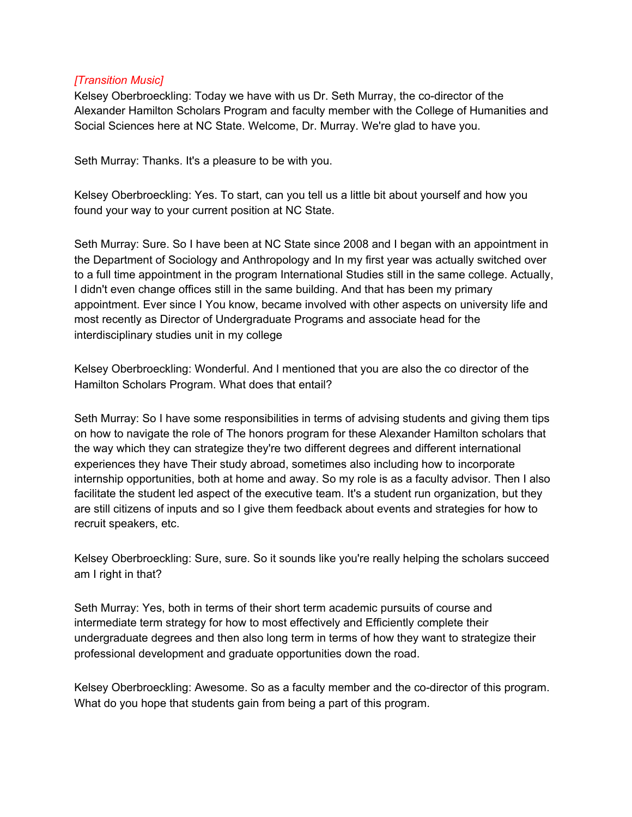#### *[Transition Music]*

Kelsey Oberbroeckling: Today we have with us Dr. Seth Murray, the co-director of the Alexander Hamilton Scholars Program and faculty member with the College of Humanities and Social Sciences here at NC State. Welcome, Dr. Murray. We're glad to have you.

Seth Murray: Thanks. It's a pleasure to be with you.

Kelsey Oberbroeckling: Yes. To start, can you tell us a little bit about yourself and how you found your way to your current position at NC State.

Seth Murray: Sure. So I have been at NC State since 2008 and I began with an appointment in the Department of Sociology and Anthropology and In my first year was actually switched over to a full time appointment in the program International Studies still in the same college. Actually, I didn't even change offices still in the same building. And that has been my primary appointment. Ever since I You know, became involved with other aspects on university life and most recently as Director of Undergraduate Programs and associate head for the interdisciplinary studies unit in my college

Kelsey Oberbroeckling: Wonderful. And I mentioned that you are also the co director of the Hamilton Scholars Program. What does that entail?

Seth Murray: So I have some responsibilities in terms of advising students and giving them tips on how to navigate the role of The honors program for these Alexander Hamilton scholars that the way which they can strategize they're two different degrees and different international experiences they have Their study abroad, sometimes also including how to incorporate internship opportunities, both at home and away. So my role is as a faculty advisor. Then I also facilitate the student led aspect of the executive team. It's a student run organization, but they are still citizens of inputs and so I give them feedback about events and strategies for how to recruit speakers, etc.

Kelsey Oberbroeckling: Sure, sure. So it sounds like you're really helping the scholars succeed am I right in that?

Seth Murray: Yes, both in terms of their short term academic pursuits of course and intermediate term strategy for how to most effectively and Efficiently complete their undergraduate degrees and then also long term in terms of how they want to strategize their professional development and graduate opportunities down the road.

Kelsey Oberbroeckling: Awesome. So as a faculty member and the co-director of this program. What do you hope that students gain from being a part of this program.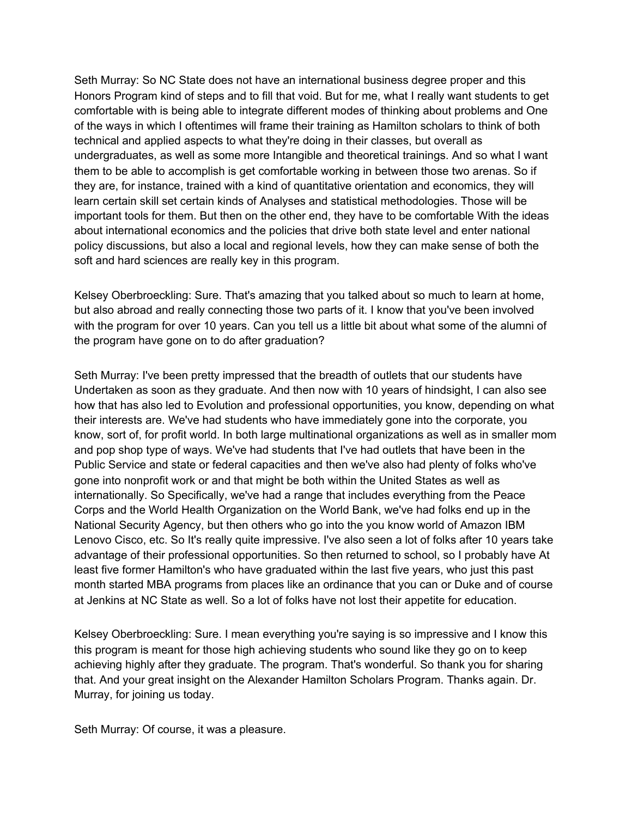Seth Murray: So NC State does not have an international business degree proper and this Honors Program kind of steps and to fill that void. But for me, what I really want students to get comfortable with is being able to integrate different modes of thinking about problems and One of the ways in which I oftentimes will frame their training as Hamilton scholars to think of both technical and applied aspects to what they're doing in their classes, but overall as undergraduates, as well as some more Intangible and theoretical trainings. And so what I want them to be able to accomplish is get comfortable working in between those two arenas. So if they are, for instance, trained with a kind of quantitative orientation and economics, they will learn certain skill set certain kinds of Analyses and statistical methodologies. Those will be important tools for them. But then on the other end, they have to be comfortable With the ideas about international economics and the policies that drive both state level and enter national policy discussions, but also a local and regional levels, how they can make sense of both the soft and hard sciences are really key in this program.

Kelsey Oberbroeckling: Sure. That's amazing that you talked about so much to learn at home, but also abroad and really connecting those two parts of it. I know that you've been involved with the program for over 10 years. Can you tell us a little bit about what some of the alumni of the program have gone on to do after graduation?

Seth Murray: I've been pretty impressed that the breadth of outlets that our students have Undertaken as soon as they graduate. And then now with 10 years of hindsight, I can also see how that has also led to Evolution and professional opportunities, you know, depending on what their interests are. We've had students who have immediately gone into the corporate, you know, sort of, for profit world. In both large multinational organizations as well as in smaller mom and pop shop type of ways. We've had students that I've had outlets that have been in the Public Service and state or federal capacities and then we've also had plenty of folks who've gone into nonprofit work or and that might be both within the United States as well as internationally. So Specifically, we've had a range that includes everything from the Peace Corps and the World Health Organization on the World Bank, we've had folks end up in the National Security Agency, but then others who go into the you know world of Amazon IBM Lenovo Cisco, etc. So It's really quite impressive. I've also seen a lot of folks after 10 years take advantage of their professional opportunities. So then returned to school, so I probably have At least five former Hamilton's who have graduated within the last five years, who just this past month started MBA programs from places like an ordinance that you can or Duke and of course at Jenkins at NC State as well. So a lot of folks have not lost their appetite for education.

Kelsey Oberbroeckling: Sure. I mean everything you're saying is so impressive and I know this this program is meant for those high achieving students who sound like they go on to keep achieving highly after they graduate. The program. That's wonderful. So thank you for sharing that. And your great insight on the Alexander Hamilton Scholars Program. Thanks again. Dr. Murray, for joining us today.

Seth Murray: Of course, it was a pleasure.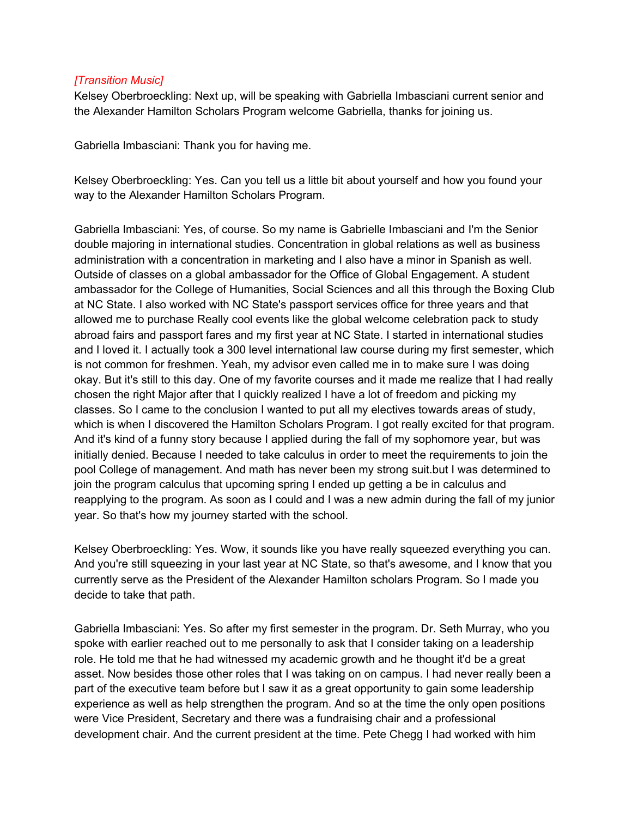#### *[Transition Music]*

Kelsey Oberbroeckling: Next up, will be speaking with Gabriella Imbasciani current senior and the Alexander Hamilton Scholars Program welcome Gabriella, thanks for joining us.

Gabriella Imbasciani: Thank you for having me.

Kelsey Oberbroeckling: Yes. Can you tell us a little bit about yourself and how you found your way to the Alexander Hamilton Scholars Program.

Gabriella Imbasciani: Yes, of course. So my name is Gabrielle Imbasciani and I'm the Senior double majoring in international studies. Concentration in global relations as well as business administration with a concentration in marketing and I also have a minor in Spanish as well. Outside of classes on a global ambassador for the Office of Global Engagement. A student ambassador for the College of Humanities, Social Sciences and all this through the Boxing Club at NC State. I also worked with NC State's passport services office for three years and that allowed me to purchase Really cool events like the global welcome celebration pack to study abroad fairs and passport fares and my first year at NC State. I started in international studies and I loved it. I actually took a 300 level international law course during my first semester, which is not common for freshmen. Yeah, my advisor even called me in to make sure I was doing okay. But it's still to this day. One of my favorite courses and it made me realize that I had really chosen the right Major after that I quickly realized I have a lot of freedom and picking my classes. So I came to the conclusion I wanted to put all my electives towards areas of study, which is when I discovered the Hamilton Scholars Program. I got really excited for that program. And it's kind of a funny story because I applied during the fall of my sophomore year, but was initially denied. Because I needed to take calculus in order to meet the requirements to join the pool College of management. And math has never been my strong suit.but I was determined to join the program calculus that upcoming spring I ended up getting a be in calculus and reapplying to the program. As soon as I could and I was a new admin during the fall of my junior year. So that's how my journey started with the school.

Kelsey Oberbroeckling: Yes. Wow, it sounds like you have really squeezed everything you can. And you're still squeezing in your last year at NC State, so that's awesome, and I know that you currently serve as the President of the Alexander Hamilton scholars Program. So I made you decide to take that path.

Gabriella Imbasciani: Yes. So after my first semester in the program. Dr. Seth Murray, who you spoke with earlier reached out to me personally to ask that I consider taking on a leadership role. He told me that he had witnessed my academic growth and he thought it'd be a great asset. Now besides those other roles that I was taking on on campus. I had never really been a part of the executive team before but I saw it as a great opportunity to gain some leadership experience as well as help strengthen the program. And so at the time the only open positions were Vice President, Secretary and there was a fundraising chair and a professional development chair. And the current president at the time. Pete Chegg I had worked with him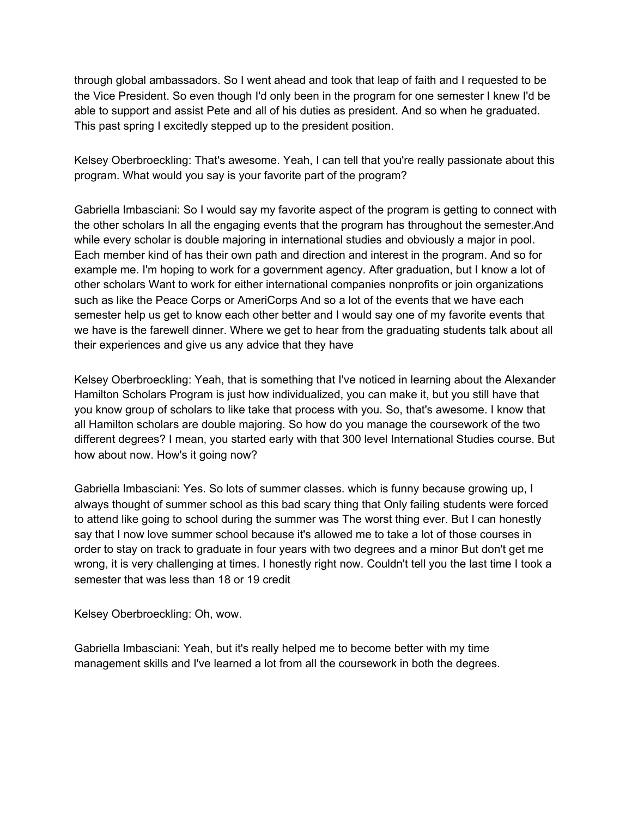through global ambassadors. So I went ahead and took that leap of faith and I requested to be the Vice President. So even though I'd only been in the program for one semester I knew I'd be able to support and assist Pete and all of his duties as president. And so when he graduated. This past spring I excitedly stepped up to the president position.

Kelsey Oberbroeckling: That's awesome. Yeah, I can tell that you're really passionate about this program. What would you say is your favorite part of the program?

Gabriella Imbasciani: So I would say my favorite aspect of the program is getting to connect with the other scholars In all the engaging events that the program has throughout the semester.And while every scholar is double majoring in international studies and obviously a major in pool. Each member kind of has their own path and direction and interest in the program. And so for example me. I'm hoping to work for a government agency. After graduation, but I know a lot of other scholars Want to work for either international companies nonprofits or join organizations such as like the Peace Corps or AmeriCorps And so a lot of the events that we have each semester help us get to know each other better and I would say one of my favorite events that we have is the farewell dinner. Where we get to hear from the graduating students talk about all their experiences and give us any advice that they have

Kelsey Oberbroeckling: Yeah, that is something that I've noticed in learning about the Alexander Hamilton Scholars Program is just how individualized, you can make it, but you still have that you know group of scholars to like take that process with you. So, that's awesome. I know that all Hamilton scholars are double majoring. So how do you manage the coursework of the two different degrees? I mean, you started early with that 300 level International Studies course. But how about now. How's it going now?

Gabriella Imbasciani: Yes. So lots of summer classes. which is funny because growing up, I always thought of summer school as this bad scary thing that Only failing students were forced to attend like going to school during the summer was The worst thing ever. But I can honestly say that I now love summer school because it's allowed me to take a lot of those courses in order to stay on track to graduate in four years with two degrees and a minor But don't get me wrong, it is very challenging at times. I honestly right now. Couldn't tell you the last time I took a semester that was less than 18 or 19 credit

Kelsey Oberbroeckling: Oh, wow.

Gabriella Imbasciani: Yeah, but it's really helped me to become better with my time management skills and I've learned a lot from all the coursework in both the degrees.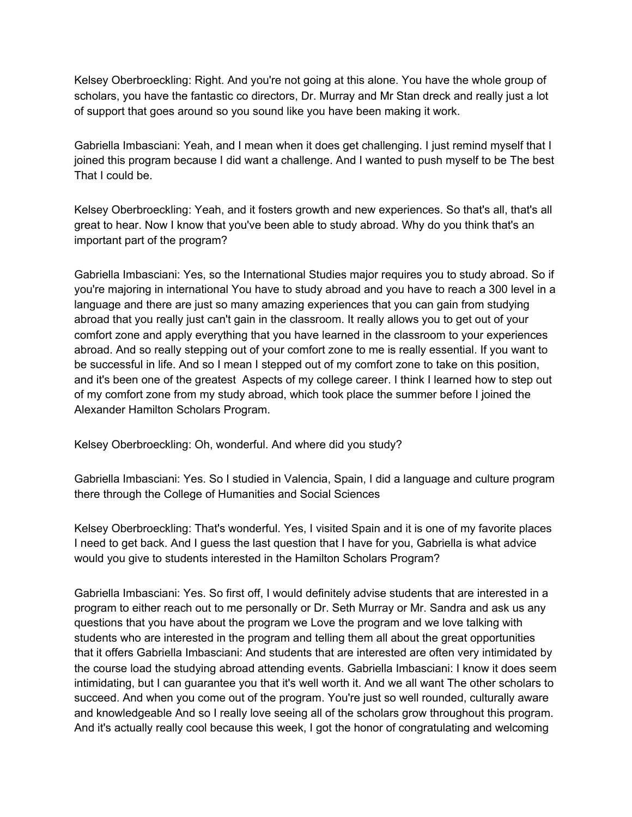Kelsey Oberbroeckling: Right. And you're not going at this alone. You have the whole group of scholars, you have the fantastic co directors, Dr. Murray and Mr Stan dreck and really just a lot of support that goes around so you sound like you have been making it work.

Gabriella Imbasciani: Yeah, and I mean when it does get challenging. I just remind myself that I joined this program because I did want a challenge. And I wanted to push myself to be The best That I could be.

Kelsey Oberbroeckling: Yeah, and it fosters growth and new experiences. So that's all, that's all great to hear. Now I know that you've been able to study abroad. Why do you think that's an important part of the program?

Gabriella Imbasciani: Yes, so the International Studies major requires you to study abroad. So if you're majoring in international You have to study abroad and you have to reach a 300 level in a language and there are just so many amazing experiences that you can gain from studying abroad that you really just can't gain in the classroom. It really allows you to get out of your comfort zone and apply everything that you have learned in the classroom to your experiences abroad. And so really stepping out of your comfort zone to me is really essential. If you want to be successful in life. And so I mean I stepped out of my comfort zone to take on this position, and it's been one of the greatest Aspects of my college career. I think I learned how to step out of my comfort zone from my study abroad, which took place the summer before I joined the Alexander Hamilton Scholars Program.

Kelsey Oberbroeckling: Oh, wonderful. And where did you study?

Gabriella Imbasciani: Yes. So I studied in Valencia, Spain, I did a language and culture program there through the College of Humanities and Social Sciences

Kelsey Oberbroeckling: That's wonderful. Yes, I visited Spain and it is one of my favorite places I need to get back. And I guess the last question that I have for you, Gabriella is what advice would you give to students interested in the Hamilton Scholars Program?

Gabriella Imbasciani: Yes. So first off, I would definitely advise students that are interested in a program to either reach out to me personally or Dr. Seth Murray or Mr. Sandra and ask us any questions that you have about the program we Love the program and we love talking with students who are interested in the program and telling them all about the great opportunities that it offers Gabriella Imbasciani: And students that are interested are often very intimidated by the course load the studying abroad attending events. Gabriella Imbasciani: I know it does seem intimidating, but I can guarantee you that it's well worth it. And we all want The other scholars to succeed. And when you come out of the program. You're just so well rounded, culturally aware and knowledgeable And so I really love seeing all of the scholars grow throughout this program. And it's actually really cool because this week, I got the honor of congratulating and welcoming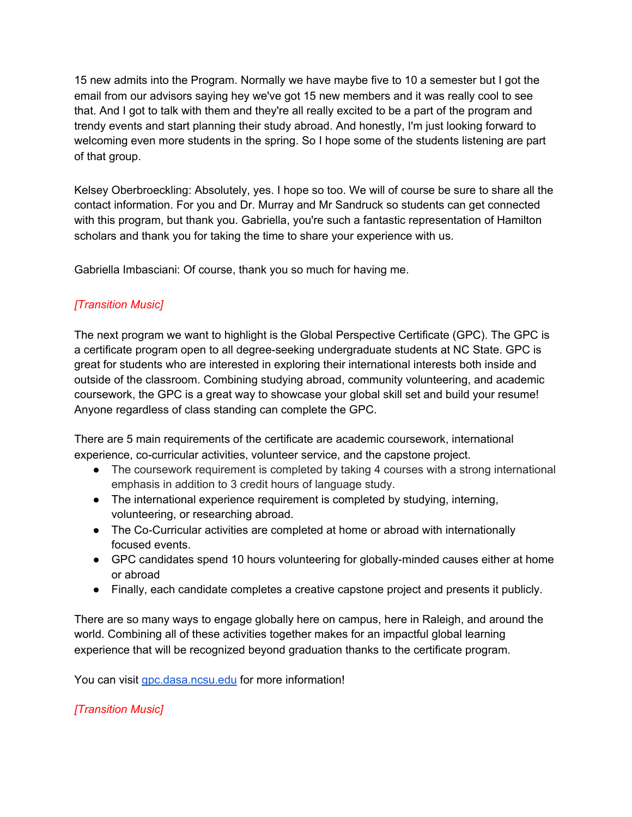15 new admits into the Program. Normally we have maybe five to 10 a semester but I got the email from our advisors saying hey we've got 15 new members and it was really cool to see that. And I got to talk with them and they're all really excited to be a part of the program and trendy events and start planning their study abroad. And honestly, I'm just looking forward to welcoming even more students in the spring. So I hope some of the students listening are part of that group.

Kelsey Oberbroeckling: Absolutely, yes. I hope so too. We will of course be sure to share all the contact information. For you and Dr. Murray and Mr Sandruck so students can get connected with this program, but thank you. Gabriella, you're such a fantastic representation of Hamilton scholars and thank you for taking the time to share your experience with us.

Gabriella Imbasciani: Of course, thank you so much for having me.

# *[Transition Music]*

The next program we want to highlight is the Global Perspective Certificate (GPC). The GPC is a certificate program open to all degree-seeking undergraduate students at NC State. GPC is great for students who are interested in exploring their international interests both inside and outside of the classroom. Combining studying abroad, community volunteering, and academic coursework, the GPC is a great way to showcase your global skill set and build your resume! Anyone regardless of class standing can complete the GPC.

There are 5 main requirements of the certificate are academic coursework, international experience, co-curricular activities, volunteer service, and the capstone project.

- The coursework requirement is completed by taking 4 courses with a strong international emphasis in addition to 3 credit hours of language study.
- The international experience requirement is completed by studying, interning, volunteering, or researching abroad.
- The Co-Curricular activities are completed at home or abroad with internationally focused events.
- GPC candidates spend 10 hours volunteering for globally-minded causes either at home or abroad
- Finally, each candidate completes a creative capstone project and presents it publicly.

There are so many ways to engage globally here on campus, here in Raleigh, and around the world. Combining all of these activities together makes for an impactful global learning experience that will be recognized beyond graduation thanks to the certificate program.

You can visit [gpc.dasa.ncsu.edu](https://gpc.dasa.ncsu.edu/) for more information!

## *[Transition Music]*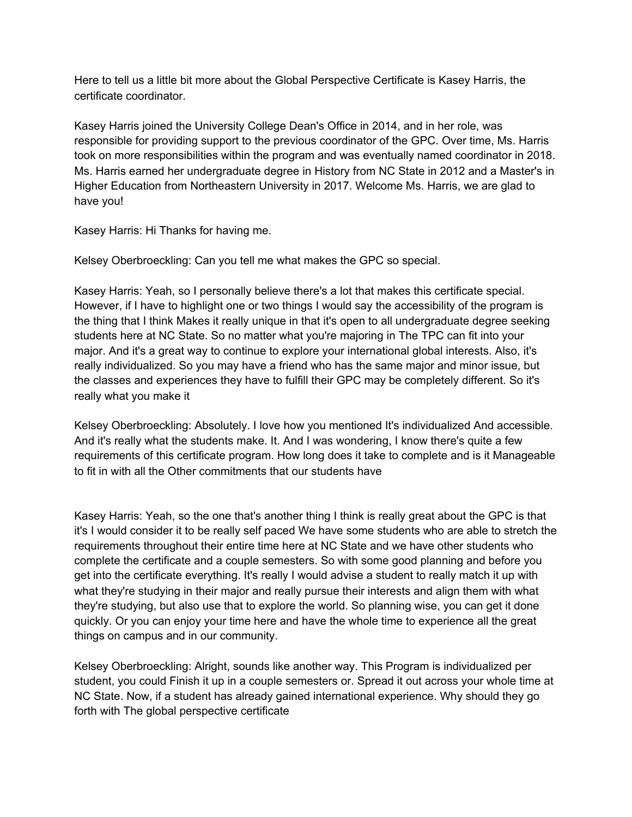Here to tell us a little bit more about the Global Perspective Certificate is Kasey Harris, the certificate coordinator.

Kasey Harris joined the University College Dean's Office in 2014, and in her role, was responsible for providing support to the previous coordinator of the GPC. Over time, Ms. Harris took on more responsibilities within the program and was eventually named coordinator in 2018. Ms. Harris earned her undergraduate degree in History from NC State in 2012 and a Master's in Higher Education from Northeastern University in 2017. Welcome Ms. Harris, we are glad to have you!

Kasey Harris: Hi Thanks for having me.

Kelsey Oberbroeckling: Can you tell me what makes the GPC so special.

Kasey Harris: Yeah, so I personally believe there's a lot that makes this certificate special. However, if I have to highlight one or two things I would say the accessibility of the program is the thing that I think Makes it really unique in that it's open to all undergraduate degree seeking students here at NC State. So no matter what you're majoring in The TPC can fit into your major. And it's a great way to continue to explore your international global interests. Also, it's really individualized. So you may have a friend who has the same major and minor issue, but the classes and experiences they have to fulfill their GPC may be completely different. So it's really what you make it

Kelsey Oberbroeckling: Absolutely. I love how you mentioned It's individualized And accessible. And it's really what the students make. It. And I was wondering, I know there's quite a few requirements of this certificate program. How long does it take to complete and is it Manageable to fit in with all the Other commitments that our students have

Kasey Harris: Yeah, so the one that's another thing I think is really great about the GPC is that it's I would consider it to be really self paced We have some students who are able to stretch the requirements throughout their entire time here at NC State and we have other students who complete the certificate and a couple semesters. So with some good planning and before you get into the certificate everything. It's really I would advise a student to really match it up with what they're studying in their major and really pursue their interests and align them with what they're studying, but also use that to explore the world. So planning wise, you can get it done quickly. Or you can enjoy your time here and have the whole time to experience all the great things on campus and in our community.

Kelsey Oberbroeckling: Alright, sounds like another way. This Program is individualized per student, you could Finish it up in a couple semesters or. Spread it out across your whole time at NC State. Now, if a student has already gained international experience. Why should they go forth with The global perspective certificate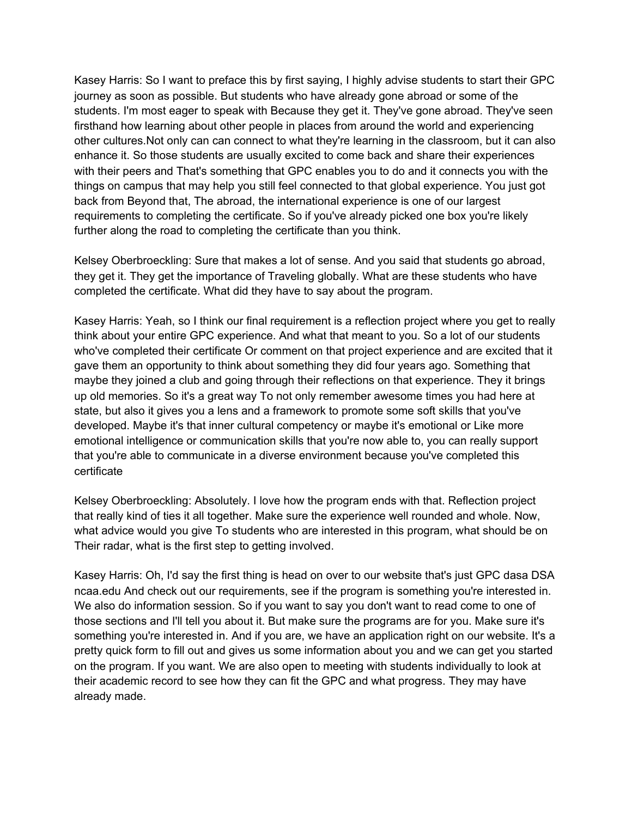Kasey Harris: So I want to preface this by first saying, I highly advise students to start their GPC journey as soon as possible. But students who have already gone abroad or some of the students. I'm most eager to speak with Because they get it. They've gone abroad. They've seen firsthand how learning about other people in places from around the world and experiencing other cultures.Not only can can connect to what they're learning in the classroom, but it can also enhance it. So those students are usually excited to come back and share their experiences with their peers and That's something that GPC enables you to do and it connects you with the things on campus that may help you still feel connected to that global experience. You just got back from Beyond that, The abroad, the international experience is one of our largest requirements to completing the certificate. So if you've already picked one box you're likely further along the road to completing the certificate than you think.

Kelsey Oberbroeckling: Sure that makes a lot of sense. And you said that students go abroad, they get it. They get the importance of Traveling globally. What are these students who have completed the certificate. What did they have to say about the program.

Kasey Harris: Yeah, so I think our final requirement is a reflection project where you get to really think about your entire GPC experience. And what that meant to you. So a lot of our students who've completed their certificate Or comment on that project experience and are excited that it gave them an opportunity to think about something they did four years ago. Something that maybe they joined a club and going through their reflections on that experience. They it brings up old memories. So it's a great way To not only remember awesome times you had here at state, but also it gives you a lens and a framework to promote some soft skills that you've developed. Maybe it's that inner cultural competency or maybe it's emotional or Like more emotional intelligence or communication skills that you're now able to, you can really support that you're able to communicate in a diverse environment because you've completed this certificate

Kelsey Oberbroeckling: Absolutely. I love how the program ends with that. Reflection project that really kind of ties it all together. Make sure the experience well rounded and whole. Now, what advice would you give To students who are interested in this program, what should be on Their radar, what is the first step to getting involved.

Kasey Harris: Oh, I'd say the first thing is head on over to our website that's just GPC dasa DSA ncaa.edu And check out our requirements, see if the program is something you're interested in. We also do information session. So if you want to say you don't want to read come to one of those sections and I'll tell you about it. But make sure the programs are for you. Make sure it's something you're interested in. And if you are, we have an application right on our website. It's a pretty quick form to fill out and gives us some information about you and we can get you started on the program. If you want. We are also open to meeting with students individually to look at their academic record to see how they can fit the GPC and what progress. They may have already made.